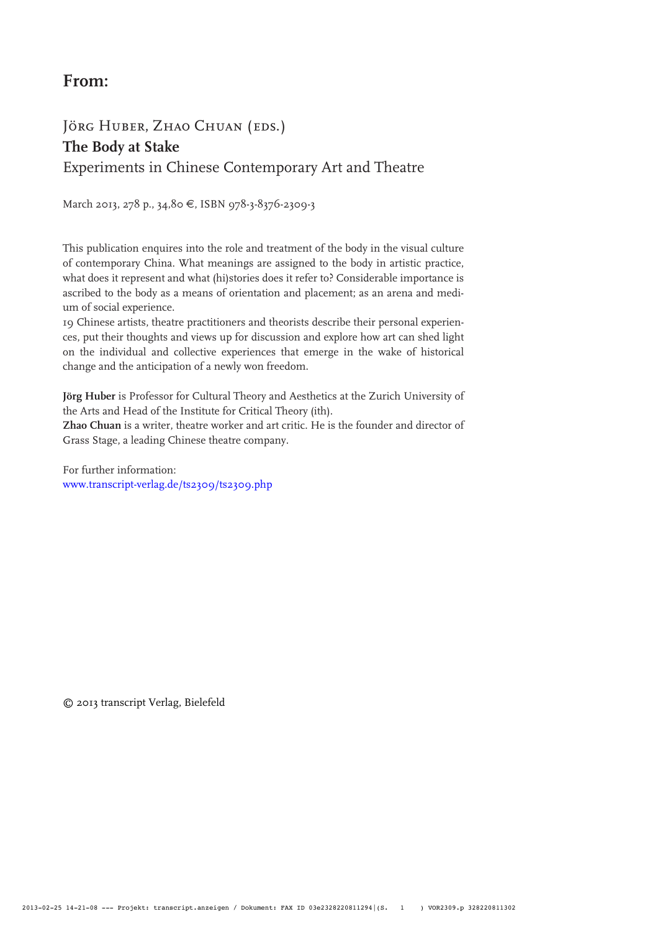## **From:**

# Jörg Huber, Zhao Chuan (eds.) **The Body at Stake** Experiments in Chinese Contemporary Art and Theatre

March 2013, 278 p., 34,80 €, ISBN 978-3-8376-2309-3

This publication enquires into the role and treatment of the body in the visual culture of contemporary China. What meanings are assigned to the body in artistic practice, what does it represent and what (hi)stories does it refer to? Considerable importance is ascribed to the body as a means of orientation and placement; as an arena and medium of social experience.

19 Chinese artists, theatre practitioners and theorists describe their personal experiences, put their thoughts and views up for discussion and explore how art can shed light on the individual and collective experiences that emerge in the wake of historical change and the anticipation of a newly won freedom.

**Jörg Huber** is Professor for Cultural Theory and Aesthetics at the Zurich University of the Arts and Head of the Institute for Critical Theory (ith).

**Zhao Chuan** is a writer, theatre worker and art critic. He is the founder and director of Grass Stage, a leading Chinese theatre company.

For further information: [www.transcript-verlag.de/ts2309/ts2309.php](http://www.transcript-verlag.de/ts2309/ts2309.php)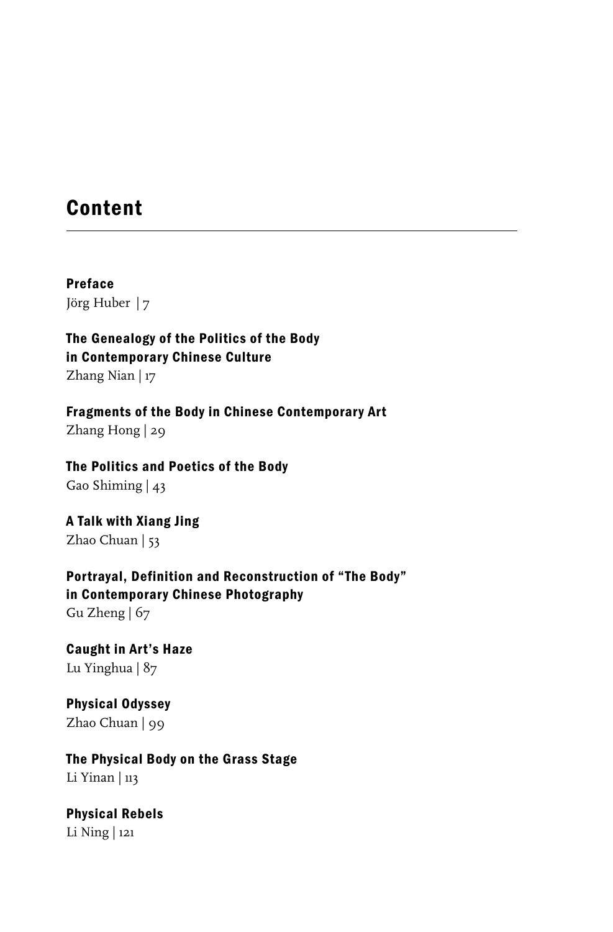## Content

Preface Jörg Huber | 7

The Genealogy of the Politics of the Body in Contemporary Chinese Culture Zhang Nian | 17

Fragments of the Body in Chinese Contemporary Art Zhang Hong | 29

The Politics and Poetics of the Body Gao Shiming | 43

A Talk with Xiang Jing Zhao Chuan | 53

Portrayal, Definition and Reconstruction of "The Body" in Contemporary Chinese Photography Gu Zheng | 67

Caught in Art's Haze Lu Yinghua | 87

Physical Odyssey Zhao Chuan | 99

The Physical Body on the Grass Stage Li Yinan | 113

Physical Rebels Li Ning | 121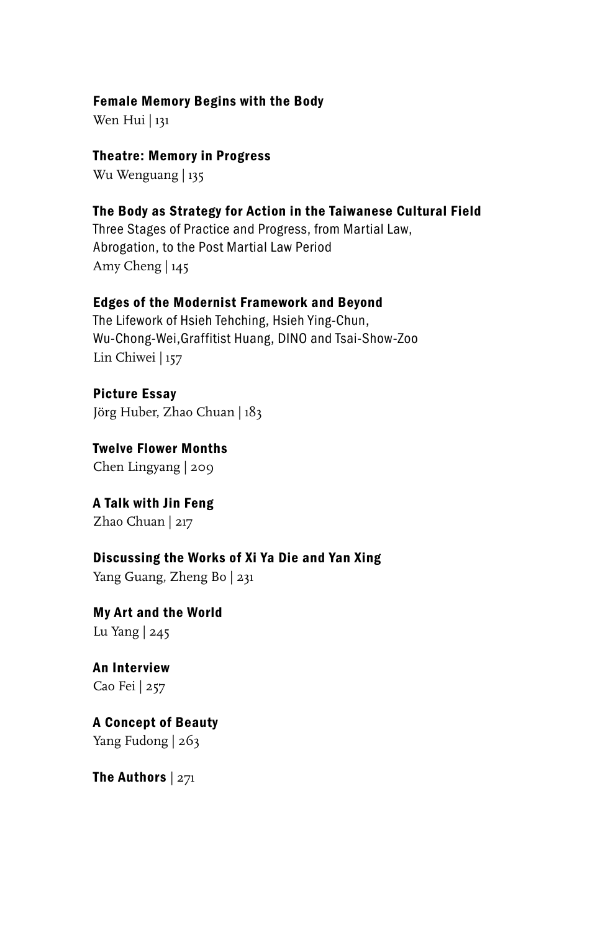Female Memory Begins with the Body

Wen Hui | 131

Theatre: Memory in Progress Wu Wenguang | 135

The Body as Strategy for Action in the Taiwanese Cultural Field Three Stages of Practice and Progress, from Martial Law, Abrogation, to the Post Martial Law Period Amy Cheng | 145

#### Edges of the Modernist Framework and Beyond

The Lifework of Hsieh Tehching, Hsieh Ying-Chun, Wu-Chong-Wei,Graffitist Huang, DINO and Tsai-Show-Zoo Lin Chiwei | 157

Picture Essay Jörg Huber, Zhao Chuan | 183

Twelve Flower Months Chen Lingyang | 209

A Talk with Jin Feng Zhao Chuan | 217

Discussing the Works of Xi Ya Die and Yan Xing

Yang Guang, Zheng Bo | 231

My Art and the World Lu Yang | 245

An Interview Cao Fei | 257

A Concept of Beauty Yang Fudong | 263

The Authors | 271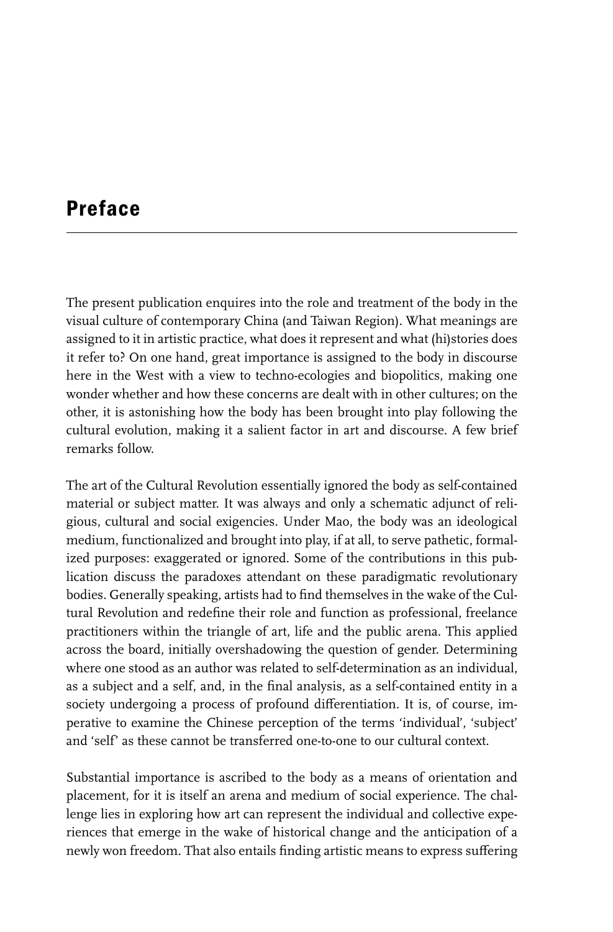### Preface

The present publication enquires into the role and treatment of the body in the visual culture of contemporary China (and Taiwan Region). What meanings are assigned to it in artistic practice, what does it represent and what (hi)stories does it refer to? On one hand, great importance is assigned to the body in discourse here in the West with a view to techno-ecologies and biopolitics, making one wonder whether and how these concerns are dealt with in other cultures; on the other, it is astonishing how the body has been brought into play following the cultural evolution, making it a salient factor in art and discourse. A few brief remarks follow.

The art of the Cultural Revolution essentially ignored the body as self-contained material or subject matter. It was always and only a schematic adjunct of religious, cultural and social exigencies. Under Mao, the body was an ideological medium, functionalized and brought into play, if at all, to serve pathetic, formalized purposes: exaggerated or ignored. Some of the contributions in this publication discuss the paradoxes attendant on these paradigmatic revolutionary bodies. Generally speaking, artists had to find themselves in the wake of the Cultural Revolution and redefine their role and function as professional, freelance practitioners within the triangle of art, life and the public arena. This applied across the board, initially overshadowing the question of gender. Determining where one stood as an author was related to self-determination as an individual, as a subject and a self, and, in the final analysis, as a self-contained entity in a society undergoing a process of profound differentiation. It is, of course, imperative to examine the Chinese perception of the terms 'individual', 'subject' and 'self' as these cannot be transferred one-to-one to our cultural context.

Substantial importance is ascribed to the body as a means of orientation and placement, for it is itself an arena and medium of social experience. The challenge lies in exploring how art can represent the individual and collective experiences that emerge in the wake of historical change and the anticipation of a newly won freedom. That also entails finding artistic means to express suffering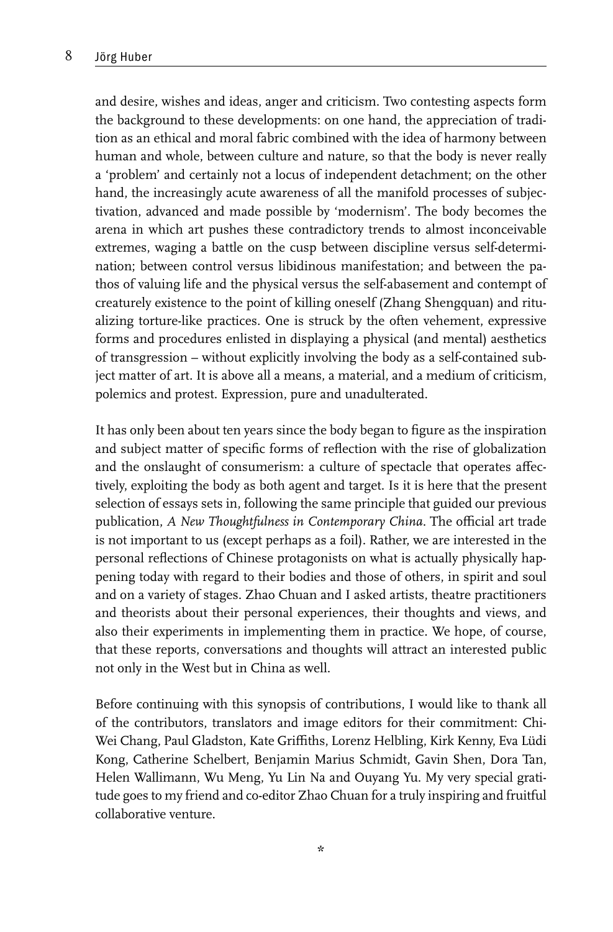and desire, wishes and ideas, anger and criticism. Two contesting aspects form the background to these developments: on one hand, the appreciation of tradition as an ethical and moral fabric combined with the idea of harmony between human and whole, between culture and nature, so that the body is never really a 'problem' and certainly not a locus of independent detachment; on the other hand, the increasingly acute awareness of all the manifold processes of subjectivation, advanced and made possible by 'modernism'. The body becomes the arena in which art pushes these contradictory trends to almost inconceivable extremes, waging a battle on the cusp between discipline versus self-determination; between control versus libidinous manifestation; and between the pathos of valuing life and the physical versus the self-abasement and contempt of creaturely existence to the point of killing oneself (Zhang Shengquan) and ritualizing torture-like practices. One is struck by the often vehement, expressive forms and procedures enlisted in displaying a physical (and mental) aesthetics of transgression – without explicitly involving the body as a self-contained subject matter of art. It is above all a means, a material, and a medium of criticism, polemics and protest. Expression, pure and unadulterated.

It has only been about ten years since the body began to figure as the inspiration and subject matter of specific forms of reflection with the rise of globalization and the onslaught of consumerism: a culture of spectacle that operates affectively, exploiting the body as both agent and target. Is it is here that the present selection of essays sets in, following the same principle that guided our previous publication, *A New Thoughtfulness in Contemporary China*. The official art trade is not important to us (except perhaps as a foil). Rather, we are interested in the personal reflections of Chinese protagonists on what is actually physically happening today with regard to their bodies and those of others, in spirit and soul and on a variety of stages. Zhao Chuan and I asked artists, theatre practitioners and theorists about their personal experiences, their thoughts and views, and also their experiments in implementing them in practice. We hope, of course, that these reports, conversations and thoughts will attract an interested public not only in the West but in China as well.

Before continuing with this synopsis of contributions, I would like to thank all of the contributors, translators and image editors for their commitment: Chi-Wei Chang, Paul Gladston, Kate Griffiths, Lorenz Helbling, Kirk Kenny, Eva Lüdi Kong, Catherine Schelbert, Benjamin Marius Schmidt, Gavin Shen, Dora Tan, Helen Wallimann, Wu Meng, Yu Lin Na and Ouyang Yu. My very special gratitude goes to my friend and co-editor Zhao Chuan for a truly inspiring and fruitful collaborative venture.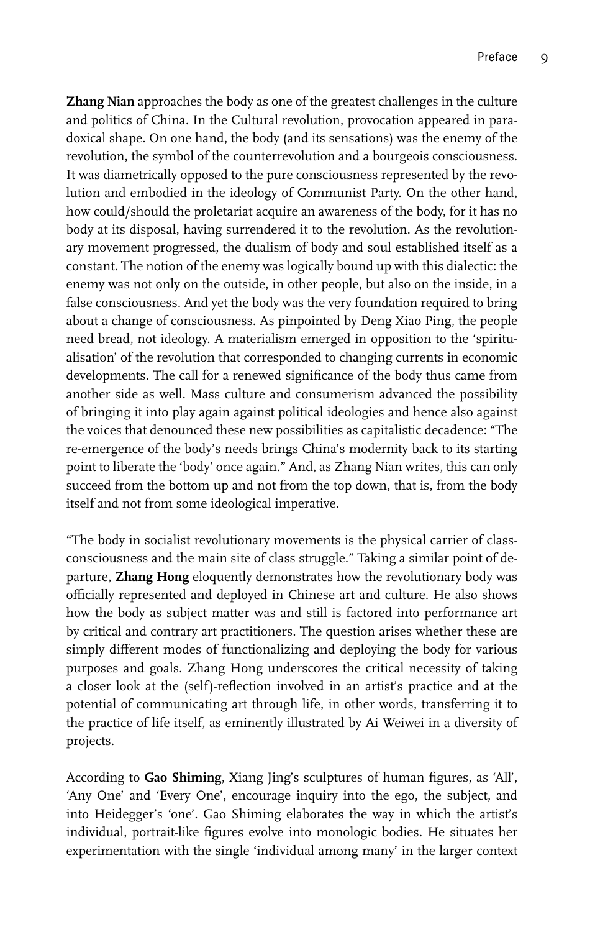**Zhang Nian** approaches the body as one of the greatest challenges in the culture and politics of China. In the Cultural revolution, provocation appeared in paradoxical shape. On one hand, the body (and its sensations) was the enemy of the revolution, the symbol of the counterrevolution and a bourgeois consciousness. It was diametrically opposed to the pure consciousness represented by the revolution and embodied in the ideology of Communist Party. On the other hand, how could/should the proletariat acquire an awareness of the body, for it has no body at its disposal, having surrendered it to the revolution. As the revolutionary movement progressed, the dualism of body and soul established itself as a constant. The notion of the enemy was logically bound up with this dialectic: the enemy was not only on the outside, in other people, but also on the inside, in a false consciousness. And yet the body was the very foundation required to bring about a change of consciousness. As pinpointed by Deng Xiao Ping, the people need bread, not ideology. A materialism emerged in opposition to the 'spiritualisation' of the revolution that corresponded to changing currents in economic developments. The call for a renewed significance of the body thus came from another side as well. Mass culture and consumerism advanced the possibility of bringing it into play again against political ideologies and hence also against the voices that denounced these new possibilities as capitalistic decadence: "The re-emergence of the body's needs brings China's modernity back to its starting point to liberate the 'body' once again." And, as Zhang Nian writes, this can only succeed from the bottom up and not from the top down, that is, from the body itself and not from some ideological imperative.

"The body in socialist revolutionary movements is the physical carrier of classconsciousness and the main site of class struggle." Taking a similar point of departure, **Zhang Hong** eloquently demonstrates how the revolutionary body was officially represented and deployed in Chinese art and culture. He also shows how the body as subject matter was and still is factored into performance art by critical and contrary art practitioners. The question arises whether these are simply different modes of functionalizing and deploying the body for various purposes and goals. Zhang Hong underscores the critical necessity of taking a closer look at the (self)-reflection involved in an artist's practice and at the potential of communicating art through life, in other words, transferring it to the practice of life itself, as eminently illustrated by Ai Weiwei in a diversity of projects.

According to **Gao Shiming**, Xiang Jing's sculptures of human figures, as 'All', 'Any One' and 'Every One', encourage inquiry into the ego, the subject, and into Heidegger's 'one'. Gao Shiming elaborates the way in which the artist's individual, portrait-like figures evolve into monologic bodies. He situates her experimentation with the single 'individual among many' in the larger context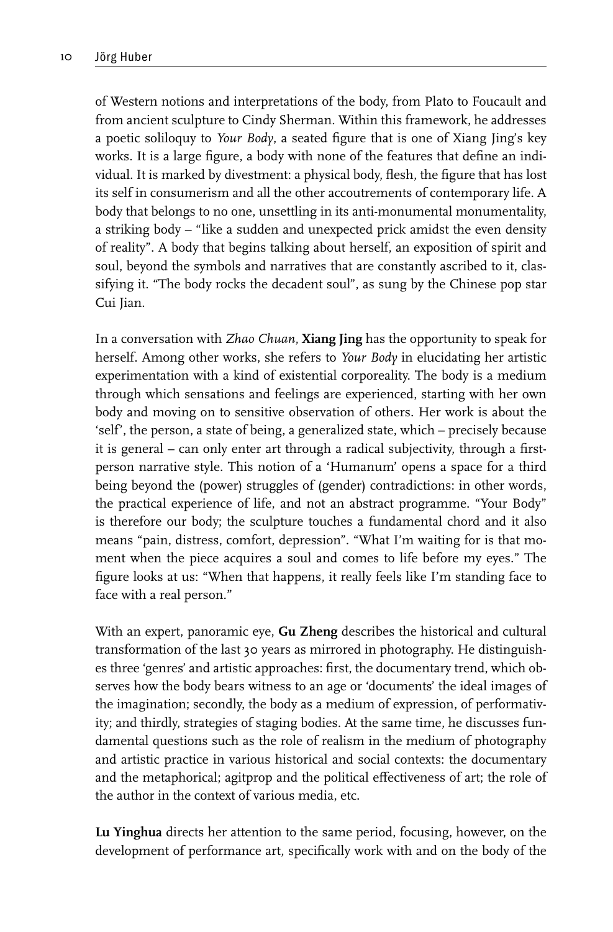of Western notions and interpretations of the body, from Plato to Foucault and from ancient sculpture to Cindy Sherman. Within this framework, he addresses a poetic soliloquy to *Your Body*, a seated figure that is one of Xiang Jing's key works. It is a large figure, a body with none of the features that define an individual. It is marked by divestment: a physical body, flesh, the figure that has lost its self in consumerism and all the other accoutrements of contemporary life. A body that belongs to no one, unsettling in its anti-monumental monumentality, a striking body – "like a sudden and unexpected prick amidst the even density of reality". A body that begins talking about herself, an exposition of spirit and soul, beyond the symbols and narratives that are constantly ascribed to it, classifying it. "The body rocks the decadent soul", as sung by the Chinese pop star Cui Jian.

In a conversation with *Zhao Chuan*, **Xiang Jing** has the opportunity to speak for herself. Among other works, she refers to *Your Body* in elucidating her artistic experimentation with a kind of existential corporeality. The body is a medium through which sensations and feelings are experienced, starting with her own body and moving on to sensitive observation of others. Her work is about the 'self', the person, a state of being, a generalized state, which – precisely because it is general – can only enter art through a radical subjectivity, through a firstperson narrative style. This notion of a 'Humanum' opens a space for a third being beyond the (power) struggles of (gender) contradictions: in other words, the practical experience of life, and not an abstract programme. "Your Body" is therefore our body; the sculpture touches a fundamental chord and it also means "pain, distress, comfort, depression". "What I'm waiting for is that moment when the piece acquires a soul and comes to life before my eyes." The figure looks at us: "When that happens, it really feels like I'm standing face to face with a real person."

With an expert, panoramic eye, **Gu Zheng** describes the historical and cultural transformation of the last 30 years as mirrored in photography. He distinguishes three 'genres' and artistic approaches: first, the documentary trend, which observes how the body bears witness to an age or 'documents' the ideal images of the imagination; secondly, the body as a medium of expression, of performativity; and thirdly, strategies of staging bodies. At the same time, he discusses fundamental questions such as the role of realism in the medium of photography and artistic practice in various historical and social contexts: the documentary and the metaphorical; agitprop and the political effectiveness of art; the role of the author in the context of various media, etc.

**Lu Yinghua** directs her attention to the same period, focusing, however, on the development of performance art, specifically work with and on the body of the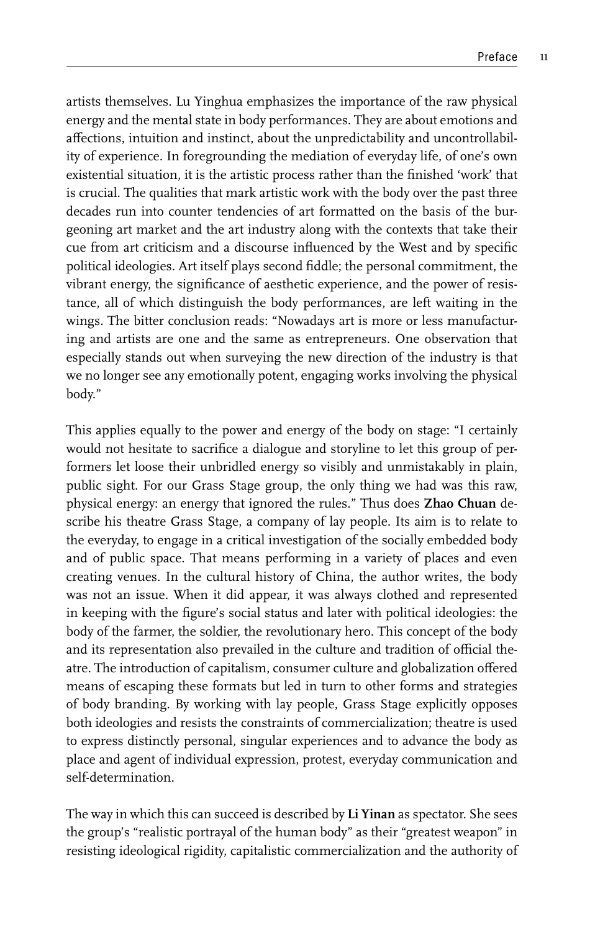artists themselves. Lu Yinghua emphasizes the importance of the raw physical energy and the mental state in body performances. They are about emotions and affections, intuition and instinct, about the unpredictability and uncontrollability of experience. In foregrounding the mediation of everyday life, of one's own existential situation, it is the artistic process rather than the finished 'work' that is crucial. The qualities that mark artistic work with the body over the past three decades run into counter tendencies of art formatted on the basis of the burgeoning art market and the art industry along with the contexts that take their cue from art criticism and a discourse influenced by the West and by specific political ideologies. Art itself plays second fiddle; the personal commitment, the vibrant energy, the significance of aesthetic experience, and the power of resistance, all of which distinguish the body performances, are left waiting in the wings. The bitter conclusion reads: "Nowadays art is more or less manufacturing and artists are one and the same as entrepreneurs. One observation that especially stands out when surveying the new direction of the industry is that we no longer see any emotionally potent, engaging works involving the physical body."

This applies equally to the power and energy of the body on stage: "I certainly would not hesitate to sacrifice a dialogue and storyline to let this group of performers let loose their unbridled energy so visibly and unmistakably in plain, public sight. For our Grass Stage group, the only thing we had was this raw, physical energy: an energy that ignored the rules." Thus does **Zhao Chuan** describe his theatre Grass Stage, a company of lay people. Its aim is to relate to the everyday, to engage in a critical investigation of the socially embedded body and of public space. That means performing in a variety of places and even creating venues. In the cultural history of China, the author writes, the body was not an issue. When it did appear, it was always clothed and represented in keeping with the figure's social status and later with political ideologies: the body of the farmer, the soldier, the revolutionary hero. This concept of the body and its representation also prevailed in the culture and tradition of official theatre. The introduction of capitalism, consumer culture and globalization offered means of escaping these formats but led in turn to other forms and strategies of body branding. By working with lay people, Grass Stage explicitly opposes both ideologies and resists the constraints of commercialization; theatre is used to express distinctly personal, singular experiences and to advance the body as place and agent of individual expression, protest, everyday communication and self-determination.

The way in which this can succeed is described by **Li Yinan** as spectator. She sees the group's "realistic portrayal of the human body" as their "greatest weapon" in resisting ideological rigidity, capitalistic commercialization and the authority of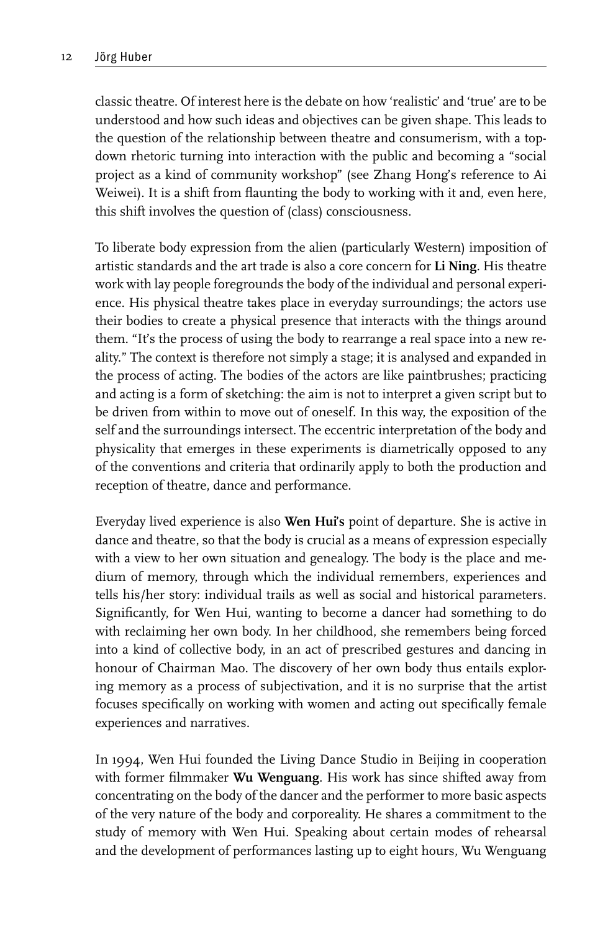classic theatre. Of interest here is the debate on how 'realistic' and 'true' are to be understood and how such ideas and objectives can be given shape. This leads to the question of the relationship between theatre and consumerism, with a topdown rhetoric turning into interaction with the public and becoming a "social project as a kind of community workshop" (see Zhang Hong's reference to Ai Weiwei). It is a shift from flaunting the body to working with it and, even here, this shift involves the question of (class) consciousness.

To liberate body expression from the alien (particularly Western) imposition of artistic standards and the art trade is also a core concern for **Li Ning**. His theatre work with lay people foregrounds the body of the individual and personal experience. His physical theatre takes place in everyday surroundings; the actors use their bodies to create a physical presence that interacts with the things around them. "It's the process of using the body to rearrange a real space into a new reality." The context is therefore not simply a stage; it is analysed and expanded in the process of acting. The bodies of the actors are like paintbrushes; practicing and acting is a form of sketching: the aim is not to interpret a given script but to be driven from within to move out of oneself. In this way, the exposition of the self and the surroundings intersect. The eccentric interpretation of the body and physicality that emerges in these experiments is diametrically opposed to any of the conventions and criteria that ordinarily apply to both the production and reception of theatre, dance and performance.

Everyday lived experience is also **Wen Hui's** point of departure. She is active in dance and theatre, so that the body is crucial as a means of expression especially with a view to her own situation and genealogy. The body is the place and medium of memory, through which the individual remembers, experiences and tells his/her story: individual trails as well as social and historical parameters. Significantly, for Wen Hui, wanting to become a dancer had something to do with reclaiming her own body. In her childhood, she remembers being forced into a kind of collective body, in an act of prescribed gestures and dancing in honour of Chairman Mao. The discovery of her own body thus entails exploring memory as a process of subjectivation, and it is no surprise that the artist focuses specifically on working with women and acting out specifically female experiences and narratives.

In 1994, Wen Hui founded the Living Dance Studio in Beijing in cooperation with former filmmaker **Wu Wenguang**. His work has since shifted away from concentrating on the body of the dancer and the performer to more basic aspects of the very nature of the body and corporeality. He shares a commitment to the study of memory with Wen Hui. Speaking about certain modes of rehearsal and the development of performances lasting up to eight hours, Wu Wenguang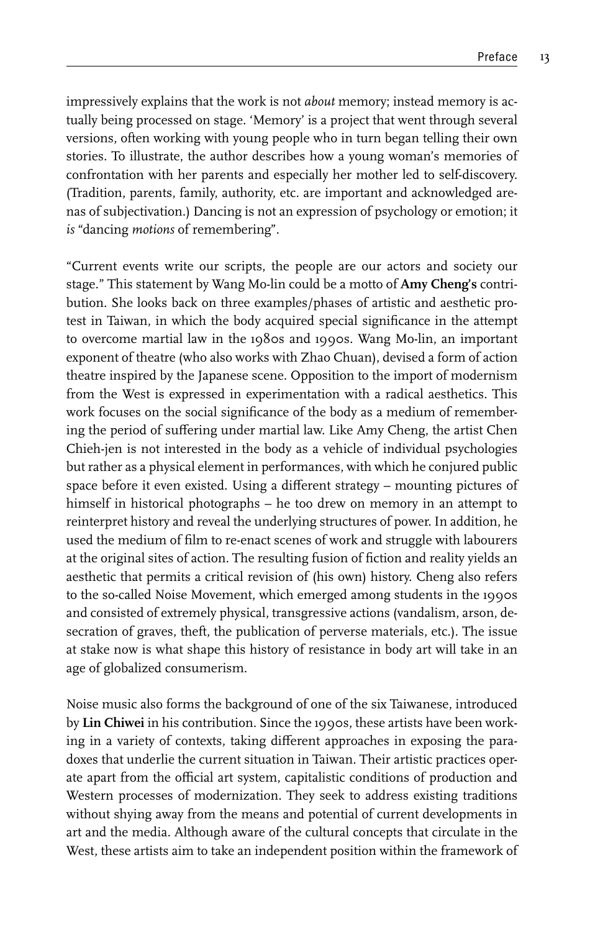impressively explains that the work is not *about* memory; instead memory is actually being processed on stage. 'Memory' is a project that went through several versions, often working with young people who in turn began telling their own stories. To illustrate, the author describes how a young woman's memories of confrontation with her parents and especially her mother led to self-discovery. (Tradition, parents, family, authority, etc. are important and acknowledged arenas of subjectivation.) Dancing is not an expression of psychology or emotion; it *is* "dancing *motions* of remembering".

"Current events write our scripts, the people are our actors and society our stage." This statement by Wang Mo-lin could be a motto of **Amy Cheng's** contribution. She looks back on three examples/phases of artistic and aesthetic protest in Taiwan, in which the body acquired special significance in the attempt to overcome martial law in the 1980s and 1990s. Wang Mo-lin, an important exponent of theatre (who also works with Zhao Chuan), devised a form of action theatre inspired by the Japanese scene. Opposition to the import of modernism from the West is expressed in experimentation with a radical aesthetics. This work focuses on the social significance of the body as a medium of remembering the period of suffering under martial law. Like Amy Cheng, the artist Chen Chieh-jen is not interested in the body as a vehicle of individual psychologies but rather as a physical element in performances, with which he conjured public space before it even existed. Using a different strategy – mounting pictures of himself in historical photographs – he too drew on memory in an attempt to reinterpret history and reveal the underlying structures of power. In addition, he used the medium of film to re-enact scenes of work and struggle with labourers at the original sites of action. The resulting fusion of fiction and reality yields an aesthetic that permits a critical revision of (his own) history. Cheng also refers to the so-called Noise Movement, which emerged among students in the 1990s and consisted of extremely physical, transgressive actions (vandalism, arson, desecration of graves, theft, the publication of perverse materials, etc.). The issue at stake now is what shape this history of resistance in body art will take in an age of globalized consumerism.

Noise music also forms the background of one of the six Taiwanese, introduced by **Lin Chiwei** in his contribution. Since the 1990s, these artists have been working in a variety of contexts, taking different approaches in exposing the paradoxes that underlie the current situation in Taiwan. Their artistic practices operate apart from the official art system, capitalistic conditions of production and Western processes of modernization. They seek to address existing traditions without shying away from the means and potential of current developments in art and the media. Although aware of the cultural concepts that circulate in the West, these artists aim to take an independent position within the framework of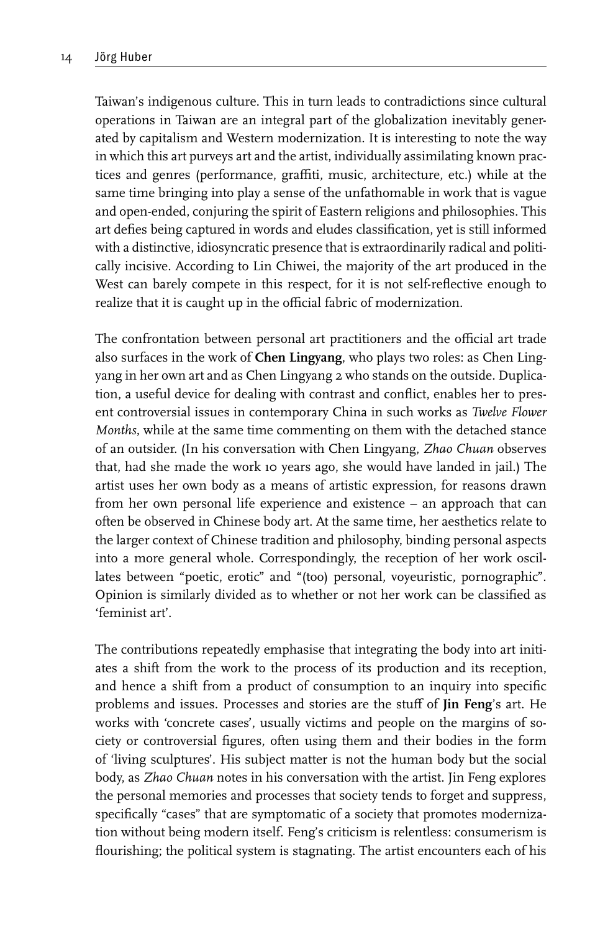Taiwan's indigenous culture. This in turn leads to contradictions since cultural operations in Taiwan are an integral part of the globalization inevitably generated by capitalism and Western modernization. It is interesting to note the way in which this art purveys art and the artist, individually assimilating known practices and genres (performance, graffiti, music, architecture, etc.) while at the same time bringing into play a sense of the unfathomable in work that is vague and open-ended, conjuring the spirit of Eastern religions and philosophies. This art defies being captured in words and eludes classification, yet is still informed with a distinctive, idiosyncratic presence that is extraordinarily radical and politically incisive. According to Lin Chiwei, the majority of the art produced in the West can barely compete in this respect, for it is not self-reflective enough to realize that it is caught up in the official fabric of modernization.

The confrontation between personal art practitioners and the official art trade also surfaces in the work of **Chen Lingyang**, who plays two roles: as Chen Lingyang in her own art and as Chen Lingyang 2 who stands on the outside. Duplication, a useful device for dealing with contrast and conflict, enables her to present controversial issues in contemporary China in such works as *Twelve Flower Months*, while at the same time commenting on them with the detached stance of an outsider. (In his conversation with Chen Lingyang, *Zhao Chuan* observes that, had she made the work 10 years ago, she would have landed in jail.) The artist uses her own body as a means of artistic expression, for reasons drawn from her own personal life experience and existence – an approach that can often be observed in Chinese body art. At the same time, her aesthetics relate to the larger context of Chinese tradition and philosophy, binding personal aspects into a more general whole. Correspondingly, the reception of her work oscillates between "poetic, erotic" and "(too) personal, voyeuristic, pornographic". Opinion is similarly divided as to whether or not her work can be classified as 'feminist art'.

The contributions repeatedly emphasise that integrating the body into art initiates a shift from the work to the process of its production and its reception, and hence a shift from a product of consumption to an inquiry into specific problems and issues. Processes and stories are the stuff of **Jin Feng**'s art. He works with 'concrete cases', usually victims and people on the margins of society or controversial figures, often using them and their bodies in the form of 'living sculptures'. His subject matter is not the human body but the social body, as *Zhao Chuan* notes in his conversation with the artist. Jin Feng explores the personal memories and processes that society tends to forget and suppress, specifically "cases" that are symptomatic of a society that promotes modernization without being modern itself. Feng's criticism is relentless: consumerism is flourishing; the political system is stagnating. The artist encounters each of his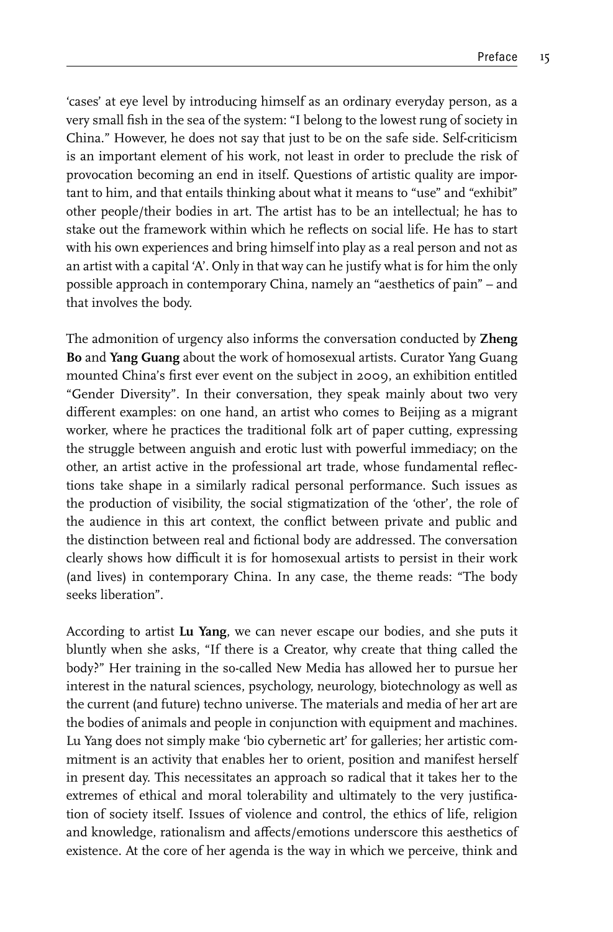Preface 15

'cases' at eye level by introducing himself as an ordinary everyday person, as a very small fish in the sea of the system: "I belong to the lowest rung of society in China." However, he does not say that just to be on the safe side. Self-criticism is an important element of his work, not least in order to preclude the risk of provocation becoming an end in itself. Questions of artistic quality are important to him, and that entails thinking about what it means to "use" and "exhibit" other people/their bodies in art. The artist has to be an intellectual; he has to stake out the framework within which he reflects on social life. He has to start with his own experiences and bring himself into play as a real person and not as an artist with a capital 'A'. Only in that way can he justify what is for him the only possible approach in contemporary China, namely an "aesthetics of pain" – and that involves the body.

The admonition of urgency also informs the conversation conducted by **Zheng Bo** and **Yang Guang** about the work of homosexual artists. Curator Yang Guang mounted China's first ever event on the subject in 2009, an exhibition entitled "Gender Diversity". In their conversation, they speak mainly about two very different examples: on one hand, an artist who comes to Beijing as a migrant worker, where he practices the traditional folk art of paper cutting, expressing the struggle between anguish and erotic lust with powerful immediacy; on the other, an artist active in the professional art trade, whose fundamental reflections take shape in a similarly radical personal performance. Such issues as the production of visibility, the social stigmatization of the 'other', the role of the audience in this art context, the conflict between private and public and the distinction between real and fictional body are addressed. The conversation clearly shows how difficult it is for homosexual artists to persist in their work (and lives) in contemporary China. In any case, the theme reads: "The body seeks liberation".

According to artist **Lu Yang**, we can never escape our bodies, and she puts it bluntly when she asks, "If there is a Creator, why create that thing called the body?" Her training in the so-called New Media has allowed her to pursue her interest in the natural sciences, psychology, neurology, biotechnology as well as the current (and future) techno universe. The materials and media of her art are the bodies of animals and people in conjunction with equipment and machines. Lu Yang does not simply make 'bio cybernetic art' for galleries; her artistic commitment is an activity that enables her to orient, position and manifest herself in present day. This necessitates an approach so radical that it takes her to the extremes of ethical and moral tolerability and ultimately to the very justification of society itself. Issues of violence and control, the ethics of life, religion and knowledge, rationalism and affects/emotions underscore this aesthetics of existence. At the core of her agenda is the way in which we perceive, think and